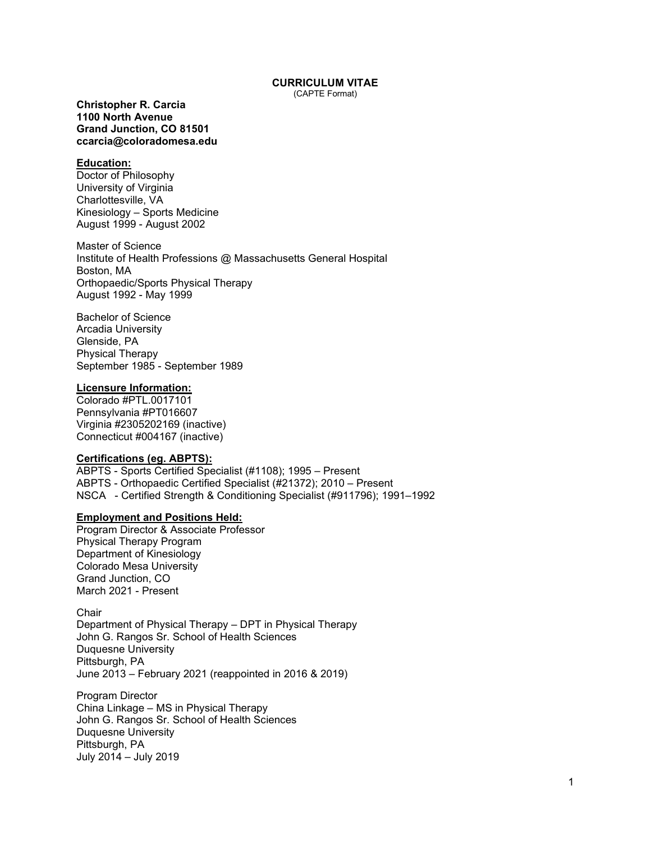# **CURRICULUM VITAE**

(CAPTE Format)

**Christopher R. Carcia 1100 North Avenue Grand Junction, CO 81501 ccarcia@coloradomesa.edu**

# **Education:**

Doctor of Philosophy University of Virginia Charlottesville, VA Kinesiology – Sports Medicine August 1999 - August 2002

Master of Science Institute of Health Professions @ Massachusetts General Hospital Boston, MA Orthopaedic/Sports Physical Therapy August 1992 - May 1999

Bachelor of Science Arcadia University Glenside, PA Physical Therapy September 1985 - September 1989

# **Licensure Information:**

Colorado #PTL.0017101 Pennsylvania #PT016607 Virginia #2305202169 (inactive) Connecticut #004167 (inactive)

### **Certifications (eg. ABPTS):**

ABPTS - Sports Certified Specialist (#1108); 1995 – Present ABPTS - Orthopaedic Certified Specialist (#21372); 2010 – Present NSCA - Certified Strength & Conditioning Specialist (#911796); 1991–1992

#### **Employment and Positions Held:**

Program Director & Associate Professor Physical Therapy Program Department of Kinesiology Colorado Mesa University Grand Junction, CO March 2021 - Present

**Chair** Department of Physical Therapy – DPT in Physical Therapy John G. Rangos Sr. School of Health Sciences Duquesne University Pittsburgh, PA June 2013 – February 2021 (reappointed in 2016 & 2019)

Program Director China Linkage – MS in Physical Therapy John G. Rangos Sr. School of Health Sciences Duquesne University Pittsburgh, PA July 2014 – July 2019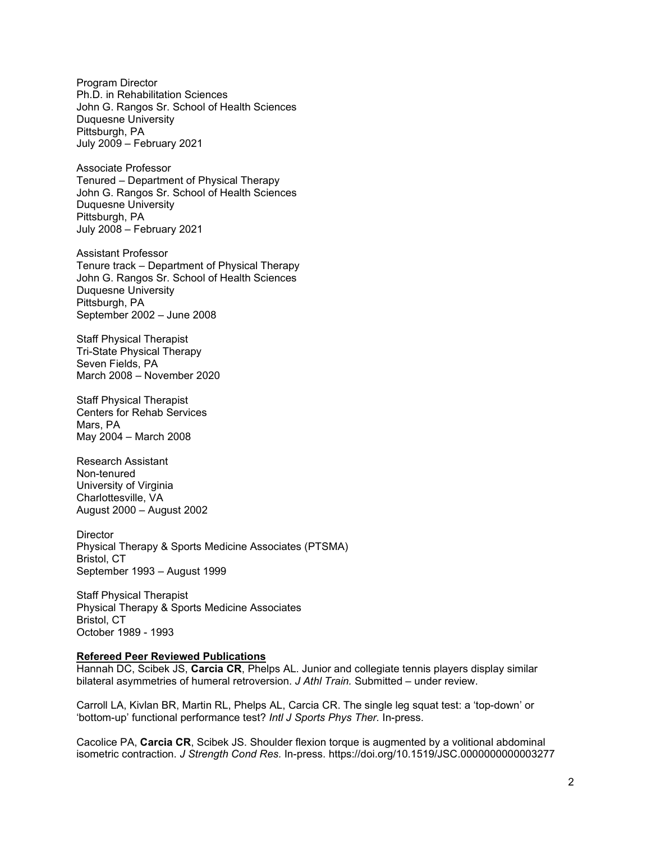Program Director Ph.D. in Rehabilitation Sciences John G. Rangos Sr. School of Health Sciences Duquesne University Pittsburgh, PA July 2009 – February 2021

Associate Professor Tenured – Department of Physical Therapy John G. Rangos Sr. School of Health Sciences Duquesne University Pittsburgh, PA July 2008 – February 2021

Assistant Professor Tenure track – Department of Physical Therapy John G. Rangos Sr. School of Health Sciences Duquesne University Pittsburgh, PA September 2002 – June 2008

Staff Physical Therapist Tri-State Physical Therapy Seven Fields, PA March 2008 – November 2020

Staff Physical Therapist Centers for Rehab Services Mars, PA May 2004 – March 2008

Research Assistant Non-tenured University of Virginia Charlottesville, VA August 2000 – August 2002

**Director** Physical Therapy & Sports Medicine Associates (PTSMA) Bristol, CT September 1993 – August 1999

Staff Physical Therapist Physical Therapy & Sports Medicine Associates Bristol, CT October 1989 - 1993

#### **Refereed Peer Reviewed Publications**

Hannah DC, Scibek JS, **Carcia CR**, Phelps AL. Junior and collegiate tennis players display similar bilateral asymmetries of humeral retroversion. *J Athl Train.* Submitted – under review.

Carroll LA, Kivlan BR, Martin RL, Phelps AL, Carcia CR. The single leg squat test: a 'top-down' or 'bottom-up' functional performance test? *Intl J Sports Phys Ther.* In-press.

Cacolice PA, **Carcia CR**, Scibek JS. Shoulder flexion torque is augmented by a volitional abdominal isometric contraction. *J Strength Cond Res.* In-press. https://doi.org/10.1519/JSC.0000000000003277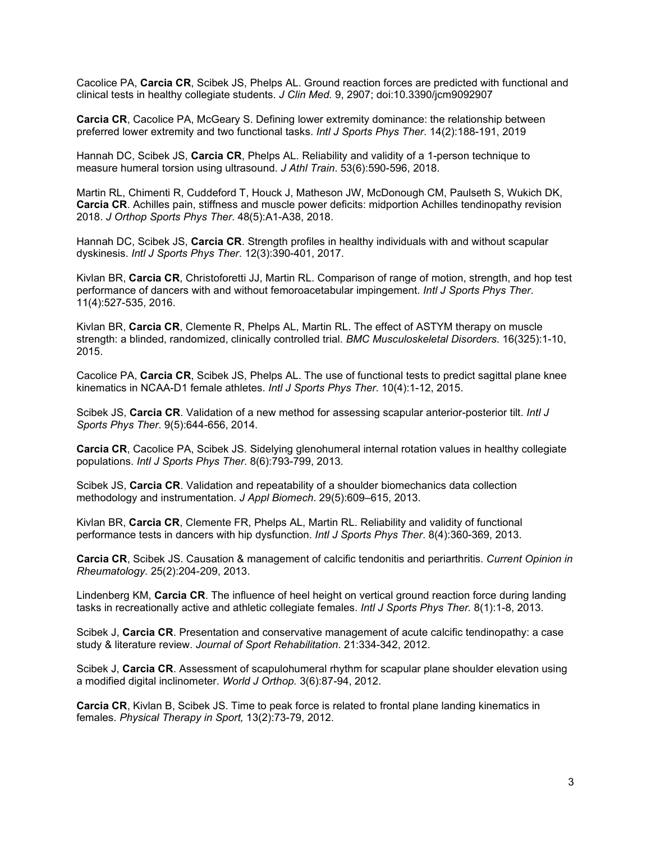Cacolice PA, **Carcia CR**, Scibek JS, Phelps AL. Ground reaction forces are predicted with functional and clinical tests in healthy collegiate students. *J Clin Med.* 9, 2907; doi:10.3390/jcm9092907

**Carcia CR**, Cacolice PA, McGeary S. Defining lower extremity dominance: the relationship between preferred lower extremity and two functional tasks. *Intl J Sports Phys Ther*. 14(2):188-191, 2019

Hannah DC, Scibek JS, **Carcia CR**, Phelps AL. Reliability and validity of a 1-person technique to measure humeral torsion using ultrasound. *J Athl Train*. 53(6):590-596, 2018.

Martin RL, Chimenti R, Cuddeford T, Houck J, Matheson JW, McDonough CM, Paulseth S, Wukich DK, **Carcia CR**. Achilles pain, stiffness and muscle power deficits: midportion Achilles tendinopathy revision 2018. *J Orthop Sports Phys Ther*. 48(5):A1-A38, 2018.

Hannah DC, Scibek JS, **Carcia CR**. Strength profiles in healthy individuals with and without scapular dyskinesis. *Intl J Sports Phys Ther*. 12(3):390-401, 2017.

Kivlan BR, **Carcia CR**, Christoforetti JJ, Martin RL. Comparison of range of motion, strength, and hop test performance of dancers with and without femoroacetabular impingement. *Intl J Sports Phys Ther*. 11(4):527-535, 2016.

Kivlan BR, **Carcia CR**, Clemente R, Phelps AL, Martin RL. The effect of ASTYM therapy on muscle strength: a blinded, randomized, clinically controlled trial. *BMC Musculoskeletal Disorders*. 16(325):1-10, 2015.

Cacolice PA, **Carcia CR**, Scibek JS, Phelps AL. The use of functional tests to predict sagittal plane knee kinematics in NCAA-D1 female athletes. *Intl J Sports Phys Ther*. 10(4):1-12, 2015.

Scibek JS, **Carcia CR**. Validation of a new method for assessing scapular anterior-posterior tilt. *Intl J Sports Phys Ther*. 9(5):644-656, 2014.

**Carcia CR**, Cacolice PA, Scibek JS. Sidelying glenohumeral internal rotation values in healthy collegiate populations. *Intl J Sports Phys Ther*. 8(6):793-799, 2013.

Scibek JS, **Carcia CR**. Validation and repeatability of a shoulder biomechanics data collection methodology and instrumentation. *J Appl Biomech*. 29(5):609–615, 2013.

Kivlan BR, **Carcia CR**, Clemente FR, Phelps AL, Martin RL. Reliability and validity of functional performance tests in dancers with hip dysfunction. *Intl J Sports Phys Ther*. 8(4):360-369, 2013.

**Carcia CR**, Scibek JS. Causation & management of calcific tendonitis and periarthritis. *Current Opinion in Rheumatology.* 25(2):204-209, 2013.

Lindenberg KM, **Carcia CR**. The influence of heel height on vertical ground reaction force during landing tasks in recreationally active and athletic collegiate females. *Intl J Sports Phys Ther.* 8(1):1-8, 2013.

Scibek J, **Carcia CR**. Presentation and conservative management of acute calcific tendinopathy: a case study & literature review. *Journal of Sport Rehabilitation*. 21:334-342, 2012.

Scibek J, **Carcia CR**. Assessment of scapulohumeral rhythm for scapular plane shoulder elevation using a modified digital inclinometer. *World J Orthop.* 3(6):87-94, 2012.

**Carcia CR**, Kivlan B, Scibek JS. Time to peak force is related to frontal plane landing kinematics in females. *Physical Therapy in Sport,* 13(2):73-79, 2012.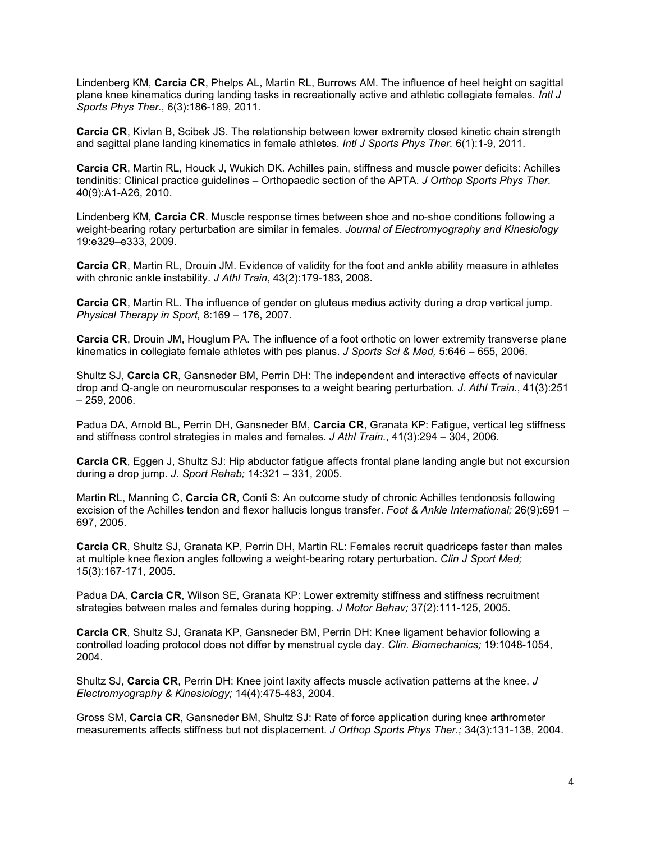Lindenberg KM, **Carcia CR**, Phelps AL, Martin RL, Burrows AM. The influence of heel height on sagittal plane knee kinematics during landing tasks in recreationally active and athletic collegiate females. *Intl J Sports Phys Ther.*, 6(3):186-189, 2011.

**Carcia CR**, Kivlan B, Scibek JS. The relationship between lower extremity closed kinetic chain strength and sagittal plane landing kinematics in female athletes. *Intl J Sports Phys Ther.* 6(1):1-9, 2011.

**Carcia CR**, Martin RL, Houck J, Wukich DK. Achilles pain, stiffness and muscle power deficits: Achilles tendinitis: Clinical practice guidelines – Orthopaedic section of the APTA. *J Orthop Sports Phys Ther.*  40(9):A1-A26, 2010.

Lindenberg KM, **Carcia CR**. Muscle response times between shoe and no-shoe conditions following a weight-bearing rotary perturbation are similar in females. *Journal of Electromyography and Kinesiology* 19:e329–e333, 2009.

**Carcia CR**, Martin RL, Drouin JM. Evidence of validity for the foot and ankle ability measure in athletes with chronic ankle instability. *J Athl Train*, 43(2):179-183, 2008.

**Carcia CR**, Martin RL. The influence of gender on gluteus medius activity during a drop vertical jump. *Physical Therapy in Sport,* 8:169 – 176, 2007.

**Carcia CR**, Drouin JM, Houglum PA. The influence of a foot orthotic on lower extremity transverse plane kinematics in collegiate female athletes with pes planus. *J Sports Sci & Med,* 5:646 – 655, 2006.

Shultz SJ, **Carcia CR**, Gansneder BM, Perrin DH: The independent and interactive effects of navicular drop and Q-angle on neuromuscular responses to a weight bearing perturbation. *J. Athl Train.*, 41(3):251 – 259, 2006.

Padua DA, Arnold BL, Perrin DH, Gansneder BM, **Carcia CR**, Granata KP: Fatigue, vertical leg stiffness and stiffness control strategies in males and females. *J Athl Train.*, 41(3):294 – 304, 2006.

**Carcia CR**, Eggen J, Shultz SJ: Hip abductor fatigue affects frontal plane landing angle but not excursion during a drop jump. *J. Sport Rehab;* 14:321 – 331, 2005.

Martin RL, Manning C, **Carcia CR**, Conti S: An outcome study of chronic Achilles tendonosis following excision of the Achilles tendon and flexor hallucis longus transfer. *Foot & Ankle International;* 26(9):691 – 697, 2005.

**Carcia CR**, Shultz SJ, Granata KP, Perrin DH, Martin RL: Females recruit quadriceps faster than males at multiple knee flexion angles following a weight-bearing rotary perturbation. *Clin J Sport Med;* 15(3):167-171, 2005.

Padua DA, **Carcia CR**, Wilson SE, Granata KP: Lower extremity stiffness and stiffness recruitment strategies between males and females during hopping. *J Motor Behav;* 37(2):111-125, 2005.

**Carcia CR**, Shultz SJ, Granata KP, Gansneder BM, Perrin DH: Knee ligament behavior following a controlled loading protocol does not differ by menstrual cycle day. *Clin. Biomechanics;* 19:1048-1054, 2004.

Shultz SJ, **Carcia CR**, Perrin DH: Knee joint laxity affects muscle activation patterns at the knee. *J Electromyography & Kinesiology;* 14(4):475-483, 2004.

Gross SM, **Carcia CR**, Gansneder BM, Shultz SJ: Rate of force application during knee arthrometer measurements affects stiffness but not displacement. *J Orthop Sports Phys Ther.;* 34(3):131-138, 2004.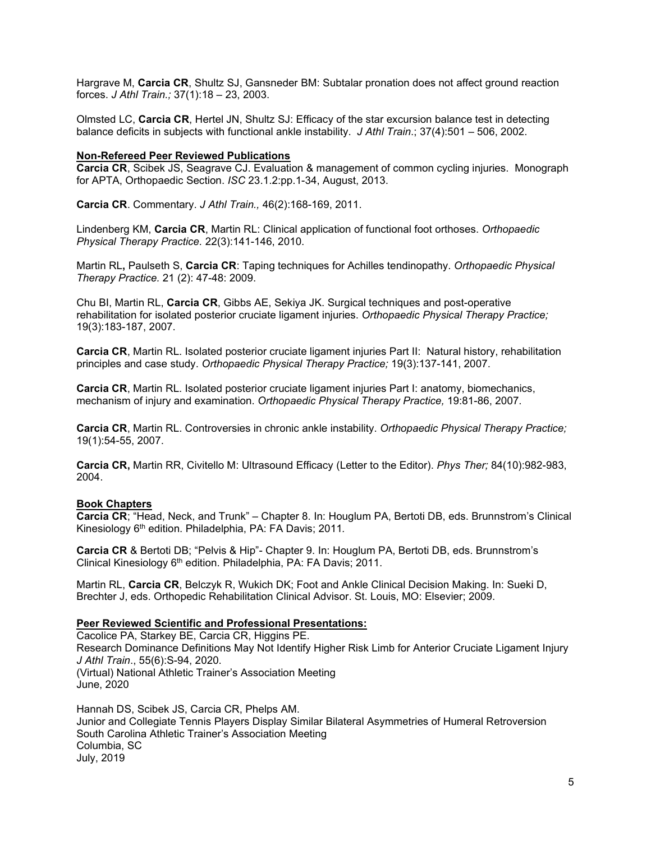Hargrave M, **Carcia CR**, Shultz SJ, Gansneder BM: Subtalar pronation does not affect ground reaction forces. *J Athl Train.;* 37(1):18 – 23, 2003.

Olmsted LC, **Carcia CR**, Hertel JN, Shultz SJ: Efficacy of the star excursion balance test in detecting balance deficits in subjects with functional ankle instability. *J Athl Train*.; 37(4):501 – 506, 2002.

## **Non-Refereed Peer Reviewed Publications**

**Carcia CR**, Scibek JS, Seagrave CJ. Evaluation & management of common cycling injuries. Monograph for APTA, Orthopaedic Section. *ISC* 23.1.2:pp.1-34, August, 2013.

**Carcia CR**. Commentary. *J Athl Train.,* 46(2):168-169, 2011.

Lindenberg KM, **Carcia CR**, Martin RL: Clinical application of functional foot orthoses. *Orthopaedic Physical Therapy Practice.* 22(3):141-146, 2010.

Martin RL**,** Paulseth S, **Carcia CR**: Taping techniques for Achilles tendinopathy. *Orthopaedic Physical Therapy Practice.* 21 (2): 47-48: 2009.

Chu BI, Martin RL, **Carcia CR**, Gibbs AE, Sekiya JK. Surgical techniques and post-operative rehabilitation for isolated posterior cruciate ligament injuries. *Orthopaedic Physical Therapy Practice;* 19(3):183-187, 2007.

**Carcia CR**, Martin RL. Isolated posterior cruciate ligament injuries Part II: Natural history, rehabilitation principles and case study. *Orthopaedic Physical Therapy Practice;* 19(3):137-141, 2007.

**Carcia CR**, Martin RL. Isolated posterior cruciate ligament injuries Part I: anatomy, biomechanics, mechanism of injury and examination. *Orthopaedic Physical Therapy Practice,* 19:81-86, 2007.

**Carcia CR**, Martin RL. Controversies in chronic ankle instability. *Orthopaedic Physical Therapy Practice;*  19(1):54-55, 2007.

**Carcia CR,** Martin RR, Civitello M: Ultrasound Efficacy (Letter to the Editor). *Phys Ther;* 84(10):982-983, 2004.

#### **Book Chapters**

**Carcia CR**; "Head, Neck, and Trunk" – Chapter 8. In: Houglum PA, Bertoti DB, eds. Brunnstrom's Clinical Kinesiology 6<sup>th</sup> edition. Philadelphia, PA: FA Davis; 2011.

**Carcia CR** & Bertoti DB; "Pelvis & Hip"- Chapter 9. In: Houglum PA, Bertoti DB, eds. Brunnstrom's Clinical Kinesiology 6th edition. Philadelphia, PA: FA Davis; 2011.

Martin RL, **Carcia CR**, Belczyk R, Wukich DK; Foot and Ankle Clinical Decision Making. In: Sueki D, Brechter J, eds. Orthopedic Rehabilitation Clinical Advisor. St. Louis, MO: Elsevier; 2009.

## **Peer Reviewed Scientific and Professional Presentations:**

Cacolice PA, Starkey BE, Carcia CR, Higgins PE. Research Dominance Definitions May Not Identify Higher Risk Limb for Anterior Cruciate Ligament Injury *J Athl Train*., 55(6):S-94, 2020. (Virtual) National Athletic Trainer's Association Meeting June, 2020

Hannah DS, Scibek JS, Carcia CR, Phelps AM. Junior and Collegiate Tennis Players Display Similar Bilateral Asymmetries of Humeral Retroversion South Carolina Athletic Trainer's Association Meeting Columbia, SC July, 2019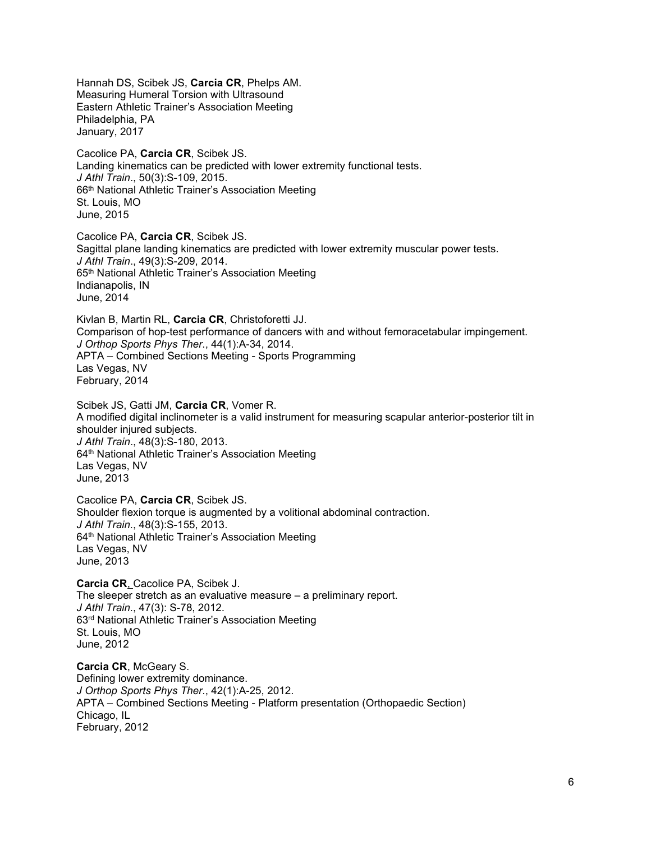Hannah DS, Scibek JS, **Carcia CR**, Phelps AM. Measuring Humeral Torsion with Ultrasound Eastern Athletic Trainer's Association Meeting Philadelphia, PA January, 2017

Cacolice PA, **Carcia CR**, Scibek JS. Landing kinematics can be predicted with lower extremity functional tests. *J Athl Train*., 50(3):S-109, 2015. 66th National Athletic Trainer's Association Meeting St. Louis, MO June, 2015

Cacolice PA, **Carcia CR**, Scibek JS. Sagittal plane landing kinematics are predicted with lower extremity muscular power tests. *J Athl Train*., 49(3):S-209, 2014. 65th National Athletic Trainer's Association Meeting Indianapolis, IN June, 2014

Kivlan B, Martin RL, **Carcia CR**, Christoforetti JJ. Comparison of hop-test performance of dancers with and without femoracetabular impingement. *J Orthop Sports Phys Ther*., 44(1):A-34, 2014. APTA – Combined Sections Meeting - Sports Programming Las Vegas, NV February, 2014

Scibek JS, Gatti JM, **Carcia CR**, Vomer R. A modified digital inclinometer is a valid instrument for measuring scapular anterior-posterior tilt in shoulder injured subjects. *J Athl Train*., 48(3):S-180, 2013. 64<sup>th</sup> National Athletic Trainer's Association Meeting Las Vegas, NV June, 2013

Cacolice PA, **Carcia CR**, Scibek JS. Shoulder flexion torque is augmented by a volitional abdominal contraction. *J Athl Train.*, 48(3):S-155, 2013. 64<sup>th</sup> National Athletic Trainer's Association Meeting Las Vegas, NV June, 2013

**Carcia CR**, Cacolice PA, Scibek J. The sleeper stretch as an evaluative measure – a preliminary report. *J Athl Train.*, 47(3): S-78, 2012. 63rd National Athletic Trainer's Association Meeting St. Louis, MO June, 2012

**Carcia CR**, McGeary S. Defining lower extremity dominance. *J Orthop Sports Phys Ther*., 42(1):A-25, 2012. APTA – Combined Sections Meeting - Platform presentation (Orthopaedic Section) Chicago, IL February, 2012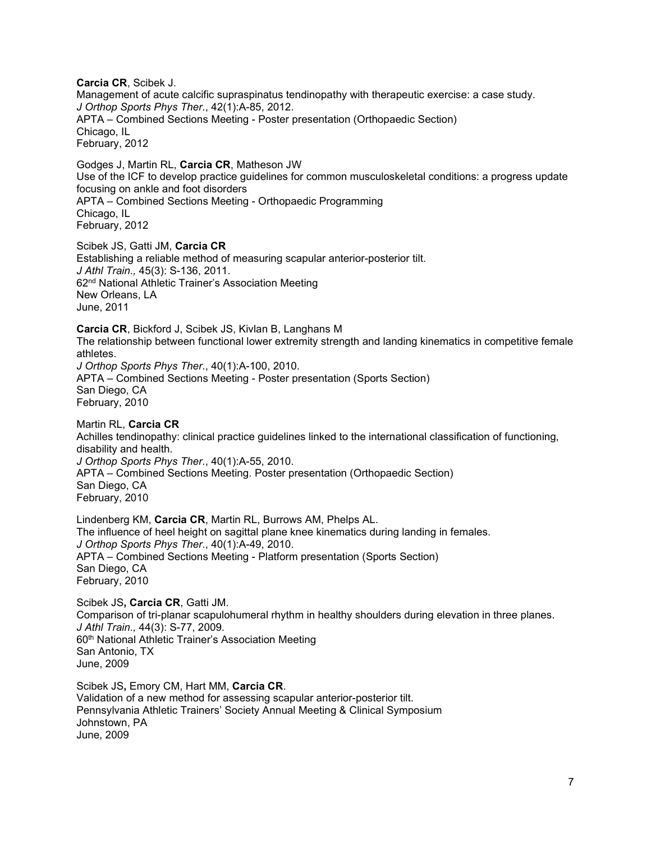**Carcia CR**, Scibek J. Management of acute calcific supraspinatus tendinopathy with therapeutic exercise: a case study. *J Orthop Sports Phys Ther*., 42(1):A-85, 2012. APTA – Combined Sections Meeting - Poster presentation (Orthopaedic Section) Chicago, IL February, 2012

Godges J, Martin RL, **Carcia CR**, Matheson JW Use of the ICF to develop practice guidelines for common musculoskeletal conditions: a progress update focusing on ankle and foot disorders APTA – Combined Sections Meeting - Orthopaedic Programming Chicago, IL February, 2012

Scibek JS, Gatti JM, **Carcia CR** Establishing a reliable method of measuring scapular anterior-posterior tilt. *J Athl Train.,* 45(3): S-136, 2011. 62nd National Athletic Trainer's Association Meeting New Orleans, LA June, 2011

**Carcia CR**, Bickford J, Scibek JS, Kivlan B, Langhans M The relationship between functional lower extremity strength and landing kinematics in competitive female athletes. *J Orthop Sports Phys Ther*., 40(1):A-100, 2010. APTA – Combined Sections Meeting - Poster presentation (Sports Section) San Diego, CA February, 2010

Martin RL, **Carcia CR** Achilles tendinopathy: clinical practice guidelines linked to the international classification of functioning, disability and health. *J Orthop Sports Phys Ther*., 40(1):A-55, 2010. APTA – Combined Sections Meeting. Poster presentation (Orthopaedic Section) San Diego, CA February, 2010

Lindenberg KM, **Carcia CR**, Martin RL, Burrows AM, Phelps AL. The influence of heel height on sagittal plane knee kinematics during landing in females. *J Orthop Sports Phys Ther*., 40(1):A-49, 2010. APTA – Combined Sections Meeting - Platform presentation (Sports Section) San Diego, CA February, 2010

Scibek JS**, Carcia CR**, Gatti JM. Comparison of tri-planar scapulohumeral rhythm in healthy shoulders during elevation in three planes. *J Athl Train.,* 44(3): S-77, 2009. 60<sup>th</sup> National Athletic Trainer's Association Meeting San Antonio, TX June, 2009

Scibek JS**,** Emory CM, Hart MM, **Carcia CR**. Validation of a new method for assessing scapular anterior-posterior tilt. Pennsylvania Athletic Trainers' Society Annual Meeting & Clinical Symposium Johnstown, PA June, 2009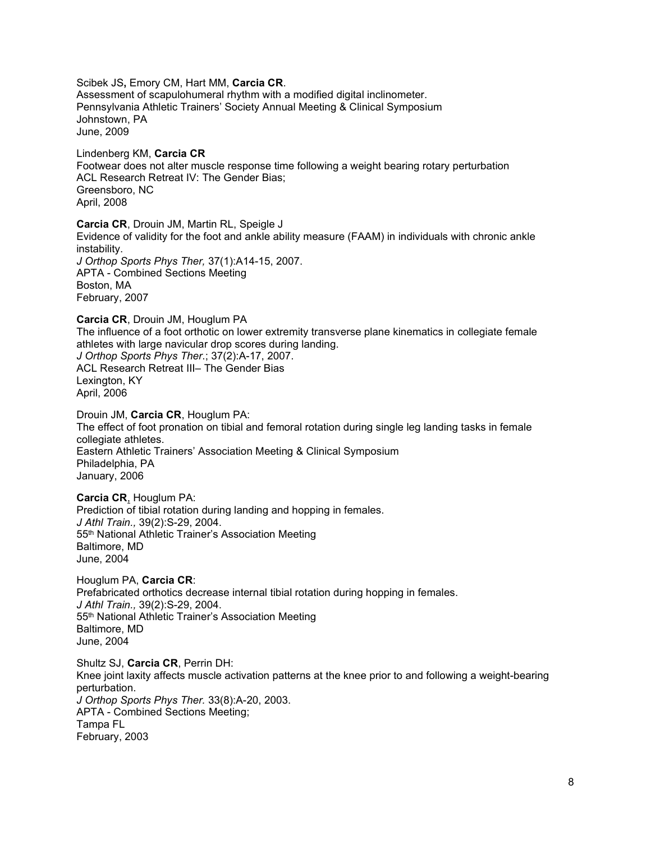Scibek JS**,** Emory CM, Hart MM, **Carcia CR**. Assessment of scapulohumeral rhythm with a modified digital inclinometer. Pennsylvania Athletic Trainers' Society Annual Meeting & Clinical Symposium Johnstown, PA June, 2009

Lindenberg KM, **Carcia CR** Footwear does not alter muscle response time following a weight bearing rotary perturbation ACL Research Retreat IV: The Gender Bias; Greensboro, NC April, 2008

**Carcia CR**, Drouin JM, Martin RL, Speigle J Evidence of validity for the foot and ankle ability measure (FAAM) in individuals with chronic ankle instability. *J Orthop Sports Phys Ther,* 37(1):A14-15, 2007. APTA - Combined Sections Meeting Boston, MA February, 2007

**Carcia CR**, Drouin JM, Houglum PA The influence of a foot orthotic on lower extremity transverse plane kinematics in collegiate female athletes with large navicular drop scores during landing. *J Orthop Sports Phys Ther*.; 37(2):A-17, 2007. ACL Research Retreat III– The Gender Bias Lexington, KY April, 2006 Drouin JM, **Carcia CR**, Houglum PA:

The effect of foot pronation on tibial and femoral rotation during single leg landing tasks in female collegiate athletes. Eastern Athletic Trainers' Association Meeting & Clinical Symposium Philadelphia, PA January, 2006

**Carcia CR**, Houglum PA: Prediction of tibial rotation during landing and hopping in females. *J Athl Train.,* 39(2):S-29, 2004. 55th National Athletic Trainer's Association Meeting Baltimore, MD June, 2004

Houglum PA, **Carcia CR**: Prefabricated orthotics decrease internal tibial rotation during hopping in females. *J Athl Train.,* 39(2):S-29, 2004. 55th National Athletic Trainer's Association Meeting Baltimore, MD June, 2004

Shultz SJ, **Carcia CR**, Perrin DH: Knee joint laxity affects muscle activation patterns at the knee prior to and following a weight-bearing perturbation. *J Orthop Sports Phys Ther.* 33(8):A-20, 2003. APTA - Combined Sections Meeting; Tampa FL February, 2003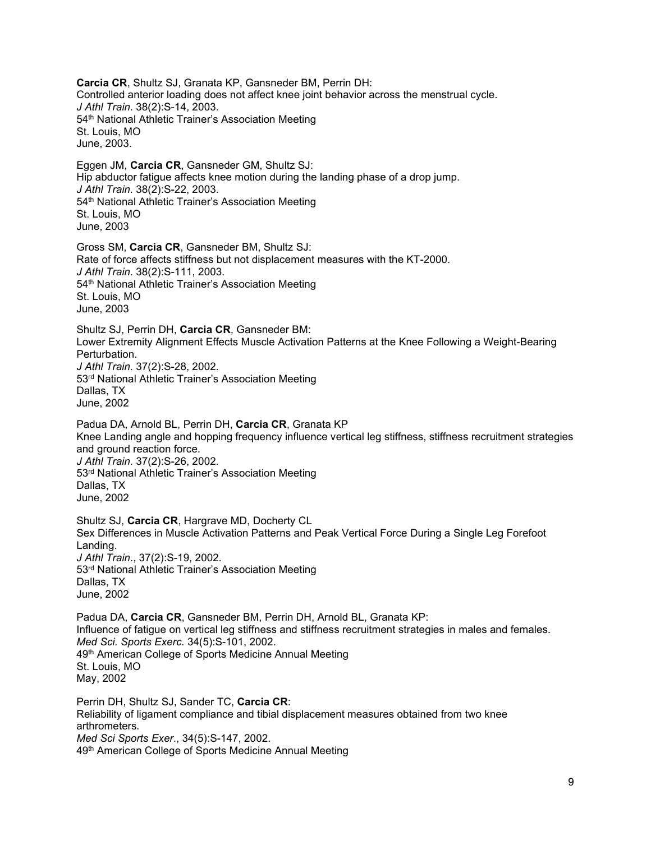**Carcia CR**, Shultz SJ, Granata KP, Gansneder BM, Perrin DH: Controlled anterior loading does not affect knee joint behavior across the menstrual cycle. *J Athl Train.* 38(2):S-14, 2003. 54<sup>th</sup> National Athletic Trainer's Association Meeting St. Louis, MO June, 2003.

Eggen JM, **Carcia CR**, Gansneder GM, Shultz SJ: Hip abductor fatigue affects knee motion during the landing phase of a drop jump. *J Athl Train.* 38(2):S-22, 2003. 54<sup>th</sup> National Athletic Trainer's Association Meeting St. Louis, MO June, 2003

Gross SM, **Carcia CR**, Gansneder BM, Shultz SJ: Rate of force affects stiffness but not displacement measures with the KT-2000. *J Athl Train.* 38(2):S-111, 2003. 54<sup>th</sup> National Athletic Trainer's Association Meeting St. Louis, MO June, 2003

Shultz SJ, Perrin DH, **Carcia CR**, Gansneder BM: Lower Extremity Alignment Effects Muscle Activation Patterns at the Knee Following a Weight-Bearing Perturbation. *J Athl Train.* 37(2):S-28, 2002. 53rd National Athletic Trainer's Association Meeting Dallas, TX June, 2002

Padua DA, Arnold BL, Perrin DH, **Carcia CR**, Granata KP Knee Landing angle and hopping frequency influence vertical leg stiffness, stiffness recruitment strategies and ground reaction force. *J Athl Train.* 37(2):S-26, 2002. 53rd National Athletic Trainer's Association Meeting Dallas, TX June, 2002

Shultz SJ, **Carcia CR**, Hargrave MD, Docherty CL Sex Differences in Muscle Activation Patterns and Peak Vertical Force During a Single Leg Forefoot Landing. *J Athl Train*., 37(2):S-19, 2002. 53rd National Athletic Trainer's Association Meeting Dallas, TX June, 2002

Padua DA, **Carcia CR**, Gansneder BM, Perrin DH, Arnold BL, Granata KP: Influence of fatigue on vertical leg stiffness and stiffness recruitment strategies in males and females. *Med Sci. Sports Exerc.* 34(5):S-101, 2002. 49<sup>th</sup> American College of Sports Medicine Annual Meeting St. Louis, MO May, 2002

Perrin DH, Shultz SJ, Sander TC, **Carcia CR**: Reliability of ligament compliance and tibial displacement measures obtained from two knee arthrometers*. Med Sci Sports Exer*., 34(5):S-147, 2002. 49th American College of Sports Medicine Annual Meeting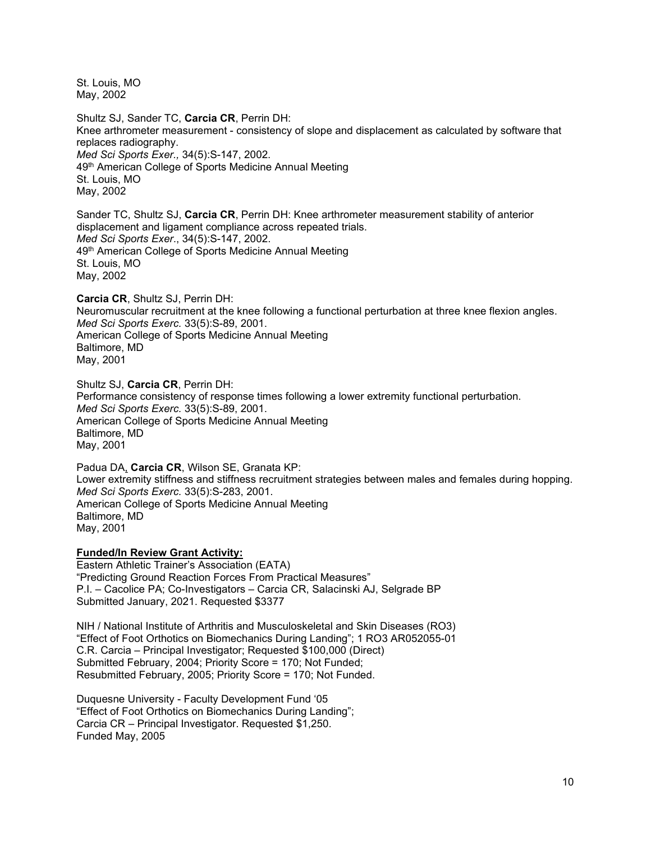St. Louis, MO May, 2002

Shultz SJ, Sander TC, **Carcia CR**, Perrin DH: Knee arthrometer measurement - consistency of slope and displacement as calculated by software that replaces radiography. *Med Sci Sports Exer.,* 34(5):S-147, 2002. 49<sup>th</sup> American College of Sports Medicine Annual Meeting St. Louis, MO May, 2002

Sander TC, Shultz SJ, **Carcia CR**, Perrin DH: Knee arthrometer measurement stability of anterior displacement and ligament compliance across repeated trials. *Med Sci Sports Exer*., 34(5):S-147, 2002. 49<sup>th</sup> American College of Sports Medicine Annual Meeting St. Louis, MO May, 2002

**Carcia CR**, Shultz SJ, Perrin DH: Neuromuscular recruitment at the knee following a functional perturbation at three knee flexion angles. *Med Sci Sports Exerc.* 33(5):S-89, 2001. American College of Sports Medicine Annual Meeting Baltimore, MD May, 2001

Shultz SJ, **Carcia CR**, Perrin DH: Performance consistency of response times following a lower extremity functional perturbation. *Med Sci Sports Exerc.* 33(5):S-89, 2001. American College of Sports Medicine Annual Meeting Baltimore, MD May, 2001

Padua DA, **Carcia CR**, Wilson SE, Granata KP: Lower extremity stiffness and stiffness recruitment strategies between males and females during hopping. *Med Sci Sports Exerc.* 33(5):S-283, 2001. American College of Sports Medicine Annual Meeting Baltimore, MD May, 2001

## **Funded/In Review Grant Activity:**

Eastern Athletic Trainer's Association (EATA) "Predicting Ground Reaction Forces From Practical Measures" P.I. – Cacolice PA; Co-Investigators – Carcia CR, Salacinski AJ, Selgrade BP Submitted January, 2021. Requested \$3377

NIH / National Institute of Arthritis and Musculoskeletal and Skin Diseases (RO3) "Effect of Foot Orthotics on Biomechanics During Landing"; 1 RO3 AR052055-01 C.R. Carcia – Principal Investigator; Requested \$100,000 (Direct) Submitted February, 2004; Priority Score = 170; Not Funded; Resubmitted February, 2005; Priority Score = 170; Not Funded.

Duquesne University - Faculty Development Fund '05 "Effect of Foot Orthotics on Biomechanics During Landing"; Carcia CR – Principal Investigator. Requested \$1,250. Funded May, 2005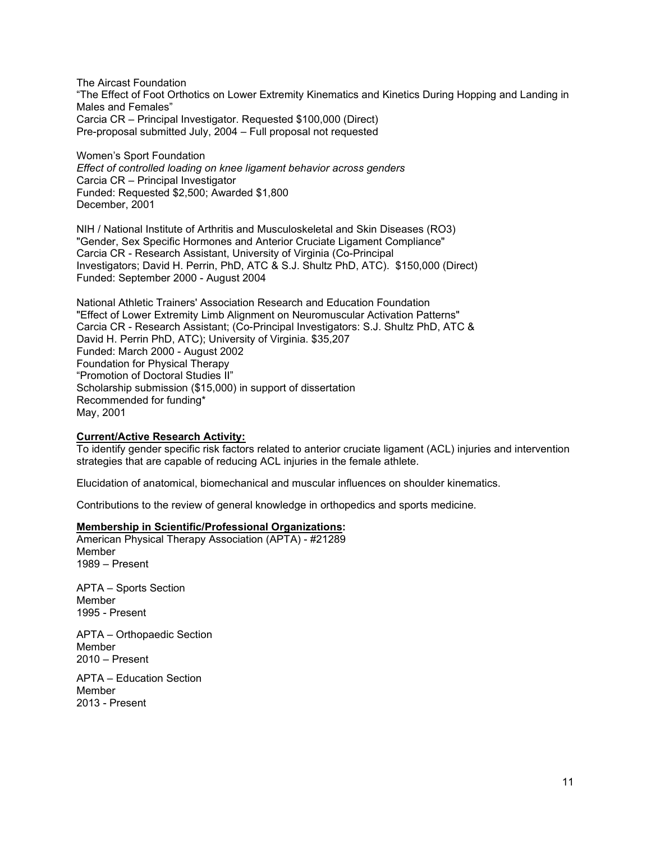The Aircast Foundation "The Effect of Foot Orthotics on Lower Extremity Kinematics and Kinetics During Hopping and Landing in Males and Females" Carcia CR – Principal Investigator. Requested \$100,000 (Direct) Pre-proposal submitted July, 2004 – Full proposal not requested

Women's Sport Foundation *Effect of controlled loading on knee ligament behavior across genders* Carcia CR – Principal Investigator Funded: Requested \$2,500; Awarded \$1,800 December, 2001

NIH / National Institute of Arthritis and Musculoskeletal and Skin Diseases (RO3) "Gender, Sex Specific Hormones and Anterior Cruciate Ligament Compliance" Carcia CR - Research Assistant, University of Virginia (Co-Principal Investigators; David H. Perrin, PhD, ATC & S.J. Shultz PhD, ATC). \$150,000 (Direct) Funded: September 2000 - August 2004

National Athletic Trainers' Association Research and Education Foundation "Effect of Lower Extremity Limb Alignment on Neuromuscular Activation Patterns" Carcia CR - Research Assistant; (Co-Principal Investigators: S.J. Shultz PhD, ATC & David H. Perrin PhD, ATC); University of Virginia. \$35,207 Funded: March 2000 - August 2002 Foundation for Physical Therapy "Promotion of Doctoral Studies II" Scholarship submission (\$15,000) in support of dissertation Recommended for funding\* May, 2001

## **Current/Active Research Activity:**

To identify gender specific risk factors related to anterior cruciate ligament (ACL) injuries and intervention strategies that are capable of reducing ACL injuries in the female athlete.

Elucidation of anatomical, biomechanical and muscular influences on shoulder kinematics.

Contributions to the review of general knowledge in orthopedics and sports medicine.

### **Membership in Scientific/Professional Organizations:**

American Physical Therapy Association (APTA) - #21289 Member 1989 – Present

APTA – Sports Section Member 1995 - Present

APTA – Orthopaedic Section Member 2010 – Present

APTA – Education Section Member 2013 - Present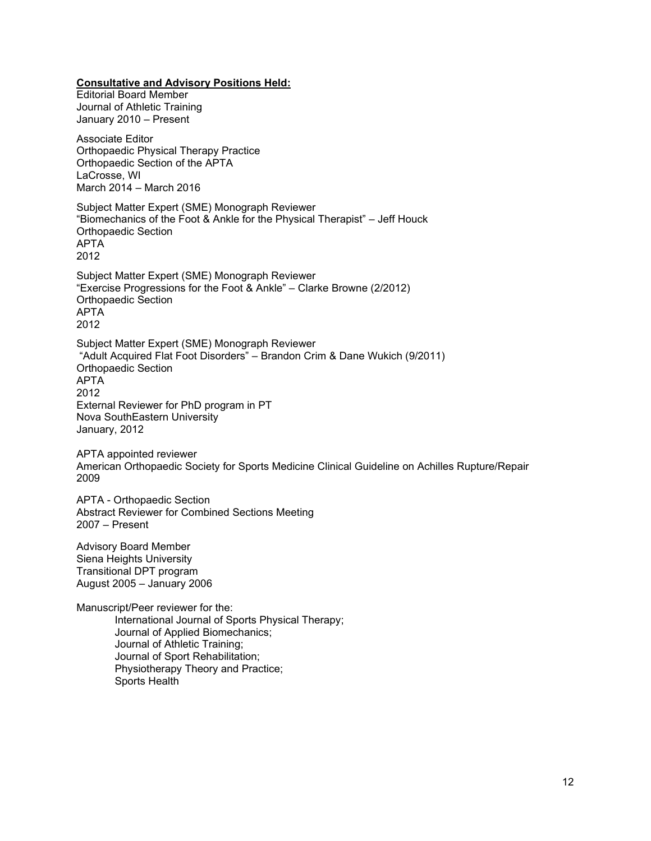**Consultative and Advisory Positions Held:**

Editorial Board Member Journal of Athletic Training January 2010 – Present Associate Editor Orthopaedic Physical Therapy Practice Orthopaedic Section of the APTA LaCrosse, WI March 2014 – March 2016 Subject Matter Expert (SME) Monograph Reviewer "Biomechanics of the Foot & Ankle for the Physical Therapist" – Jeff Houck Orthopaedic Section APTA 2012 Subject Matter Expert (SME) Monograph Reviewer "Exercise Progressions for the Foot & Ankle" – Clarke Browne (2/2012) Orthopaedic Section APTA 2012 Subject Matter Expert (SME) Monograph Reviewer "Adult Acquired Flat Foot Disorders" – Brandon Crim & Dane Wukich (9/2011) Orthopaedic Section APTA 2012 External Reviewer for PhD program in PT Nova SouthEastern University January, 2012

APTA appointed reviewer American Orthopaedic Society for Sports Medicine Clinical Guideline on Achilles Rupture/Repair 2009

APTA - Orthopaedic Section Abstract Reviewer for Combined Sections Meeting 2007 – Present

Advisory Board Member Siena Heights University Transitional DPT program August 2005 – January 2006

Manuscript/Peer reviewer for the: International Journal of Sports Physical Therapy; Journal of Applied Biomechanics; Journal of Athletic Training; Journal of Sport Rehabilitation; Physiotherapy Theory and Practice; Sports Health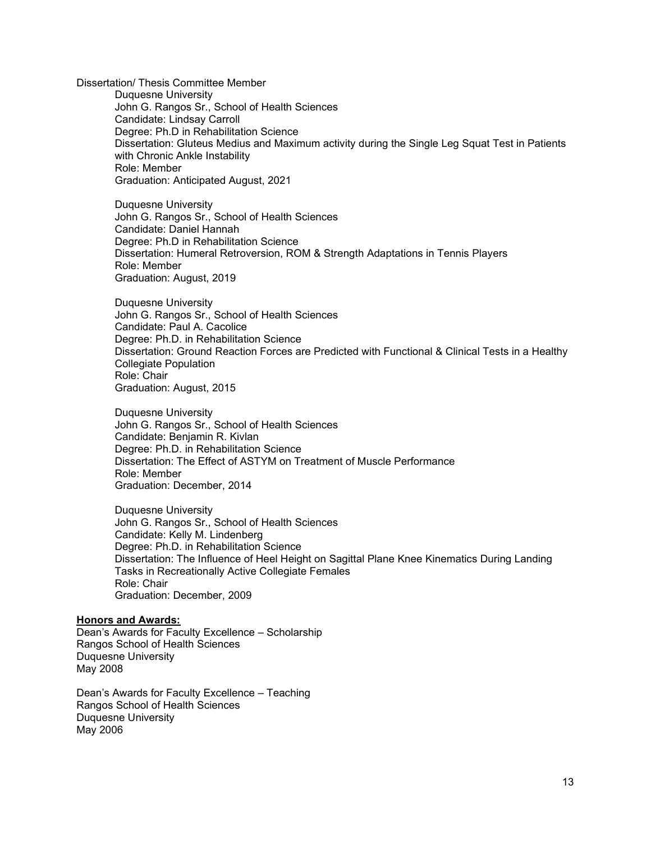Dissertation/ Thesis Committee Member Duquesne University John G. Rangos Sr., School of Health Sciences Candidate: Lindsay Carroll Degree: Ph.D in Rehabilitation Science Dissertation: Gluteus Medius and Maximum activity during the Single Leg Squat Test in Patients with Chronic Ankle Instability Role: Member Graduation: Anticipated August, 2021

Duquesne University John G. Rangos Sr., School of Health Sciences Candidate: Daniel Hannah Degree: Ph.D in Rehabilitation Science Dissertation: Humeral Retroversion, ROM & Strength Adaptations in Tennis Players Role: Member Graduation: August, 2019

Duquesne University John G. Rangos Sr., School of Health Sciences Candidate: Paul A. Cacolice Degree: Ph.D. in Rehabilitation Science Dissertation: Ground Reaction Forces are Predicted with Functional & Clinical Tests in a Healthy Collegiate Population Role: Chair Graduation: August, 2015

Duquesne University John G. Rangos Sr., School of Health Sciences Candidate: Benjamin R. Kivlan Degree: Ph.D. in Rehabilitation Science Dissertation: The Effect of ASTYM on Treatment of Muscle Performance Role: Member Graduation: December, 2014

Duquesne University John G. Rangos Sr., School of Health Sciences Candidate: Kelly M. Lindenberg Degree: Ph.D. in Rehabilitation Science Dissertation: The Influence of Heel Height on Sagittal Plane Knee Kinematics During Landing Tasks in Recreationally Active Collegiate Females Role: Chair Graduation: December, 2009

## **Honors and Awards:**

Dean's Awards for Faculty Excellence – Scholarship Rangos School of Health Sciences Duquesne University May 2008

Dean's Awards for Faculty Excellence – Teaching Rangos School of Health Sciences Duquesne University May 2006